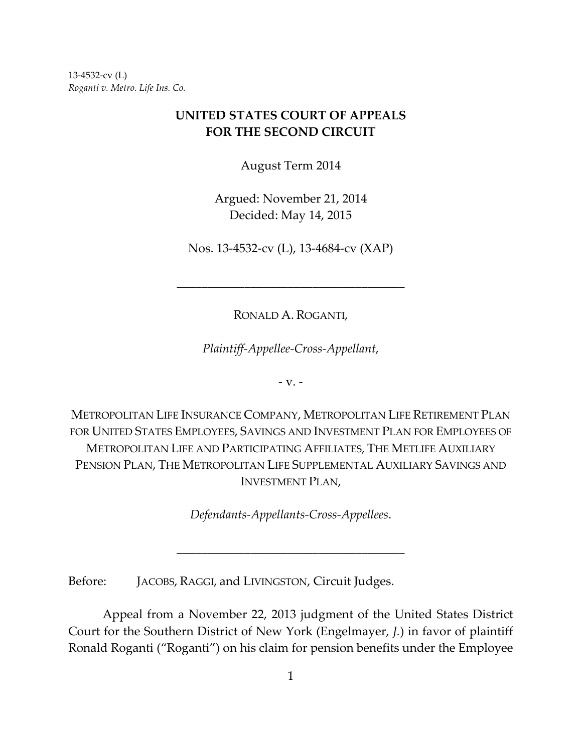13‐4532‐cv (L) *Roganti v. Metro. Life Ins. Co.*

# **UNITED STATES COURT OF APPEALS FOR THE SECOND CIRCUIT**

August Term 2014

Argued: November 21, 2014 Decided: May 14, 2015

Nos. 13‐4532‐cv (L), 13‐4684‐cv (XAP)

\_\_\_\_\_\_\_\_\_\_\_\_\_\_\_\_\_\_\_\_\_\_\_\_\_\_\_\_\_\_\_\_\_\_\_\_\_

RONALD A. ROGANTI,

*Plaintiff‐Appellee‐Cross‐Appellant*,

 $-V. -$ 

METROPOLITAN LIFE INSURANCE COMPANY, METROPOLITAN LIFE RETIREMENT PLAN FOR UNITED STATES EMPLOYEES, SAVINGS AND INVESTMENT PLAN FOR EMPLOYEES OF METROPOLITAN LIFE AND PARTICIPATING AFFILIATES, THE METLIFE AUXILIARY PENSION PLAN, THE METROPOLITAN LIFE SUPPLEMENTAL AUXILIARY SAVINGS AND INVESTMENT PLAN,

*Defendants‐Appellants‐Cross‐Appellees*.

\_\_\_\_\_\_\_\_\_\_\_\_\_\_\_\_\_\_\_\_\_\_\_\_\_\_\_\_\_\_\_\_\_\_\_\_\_

Before: JACOBS, RAGGI, and LIVINGSTON, Circuit Judges.

Appeal from a November 22, 2013 judgment of the United States District Court for the Southern District of New York (Engelmayer, *J.*) in favor of plaintiff Ronald Roganti ("Roganti") on his claim for pension benefits under the Employee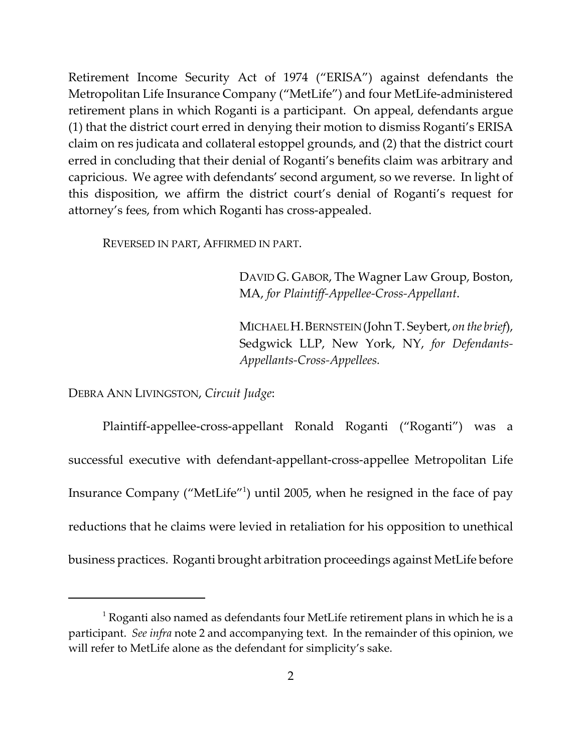Retirement Income Security Act of 1974 ("ERISA") against defendants the Metropolitan Life Insurance Company ("MetLife") and four MetLife‐administered retirement plans in which Roganti is a participant. On appeal, defendants argue (1) that the district court erred in denying their motion to dismiss Roganti's ERISA claim on res judicata and collateral estoppel grounds, and (2) that the district court erred in concluding that their denial of Roganti's benefits claim was arbitrary and capricious. We agree with defendants' second argument, so we reverse. In light of this disposition, we affirm the district court's denial of Roganti's request for attorney's fees, from which Roganti has cross‐appealed.

REVERSED IN PART, AFFIRMED IN PART.

DAVID G. GABOR, The Wagner Law Group, Boston, MA, *for Plaintiff‐Appellee‐Cross‐Appellant*.

MICHAELH.BERNSTEIN(John T. Seybert, *on the brief*), Sedgwick LLP, New York, NY, *for Defendants‐ Appellants‐Cross‐Appellees.*

DEBRA ANN LIVINGSTON, *Circuit Judge*:

Plaintiff‐appellee‐cross‐appellant Ronald Roganti ("Roganti") was a successful executive with defendant‐appellant‐cross‐appellee Metropolitan Life Insurance Company ("MetLife"<sup>1</sup>) until 2005, when he resigned in the face of pay reductions that he claims were levied in retaliation for his opposition to unethical business practices. Roganti brought arbitration proceedings against MetLife before

 $1$  Roganti also named as defendants four MetLife retirement plans in which he is a participant. *See infra* note 2 and accompanying text. In the remainder of this opinion, we will refer to MetLife alone as the defendant for simplicity's sake.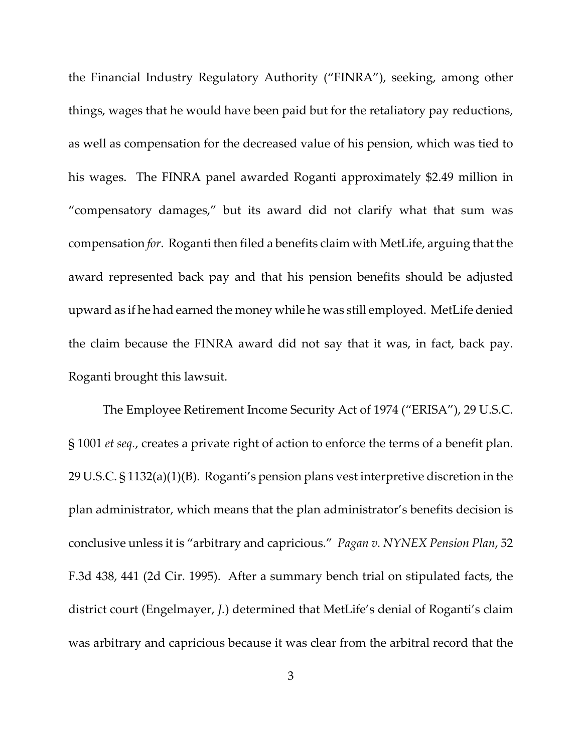the Financial Industry Regulatory Authority ("FINRA"), seeking, among other things, wages that he would have been paid but for the retaliatory pay reductions, as well as compensation for the decreased value of his pension, which was tied to his wages. The FINRA panel awarded Roganti approximately \$2.49 million in "compensatory damages," but its award did not clarify what that sum was compensation *for*. Roganti then filed a benefits claim with MetLife, arguing that the award represented back pay and that his pension benefits should be adjusted upward as if he had earned the money while he was still employed. MetLife denied the claim because the FINRA award did not say that it was, in fact, back pay. Roganti brought this lawsuit.

The Employee Retirement Income Security Act of 1974 ("ERISA"), 29 U.S.C. § 1001 *et seq.*, creates a private right of action to enforce the terms of a benefit plan. 29 U.S.C. § 1132(a)(1)(B). Roganti's pension plans vest interpretive discretion in the plan administrator, which means that the plan administrator's benefits decision is conclusive unless it is "arbitrary and capricious." *Pagan v. NYNEX Pension Plan*, 52 F.3d 438, 441 (2d Cir. 1995). After a summary bench trial on stipulated facts, the district court (Engelmayer, *J.*) determined that MetLife's denial of Roganti's claim was arbitrary and capricious because it was clear from the arbitral record that the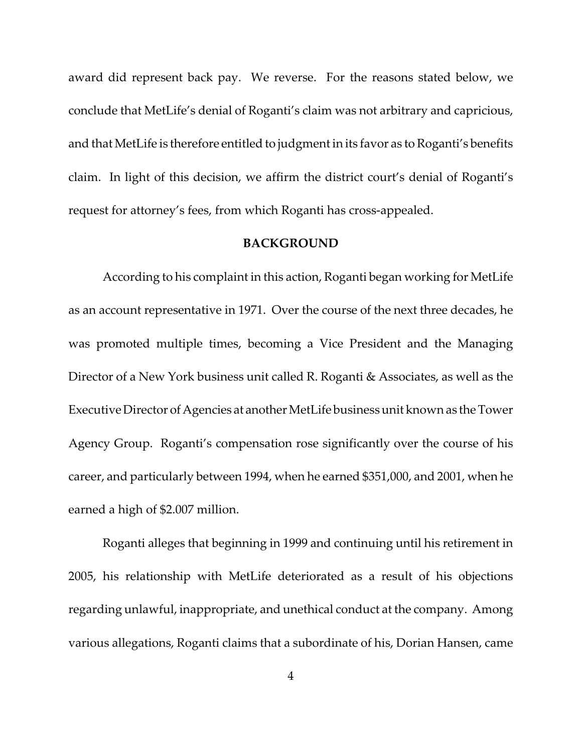award did represent back pay. We reverse. For the reasons stated below, we conclude that MetLife's denial of Roganti's claim was not arbitrary and capricious, and that MetLife is therefore entitled to judgmentin its favor as to Roganti's benefits claim. In light of this decision, we affirm the district court's denial of Roganti's request for attorney's fees, from which Roganti has cross-appealed.

#### **BACKGROUND**

According to his complaint in this action, Roganti began working for MetLife as an account representative in 1971. Over the course of the next three decades, he was promoted multiple times, becoming a Vice President and the Managing Director of a New York business unit called R. Roganti & Associates, as well as the Executive Director of Agencies at another MetLife business unit known as the Tower Agency Group. Roganti's compensation rose significantly over the course of his career, and particularly between 1994, when he earned \$351,000, and 2001, when he earned a high of \$2.007 million.

Roganti alleges that beginning in 1999 and continuing until his retirement in 2005, his relationship with MetLife deteriorated as a result of his objections regarding unlawful, inappropriate, and unethical conduct at the company. Among various allegations, Roganti claims that a subordinate of his, Dorian Hansen, came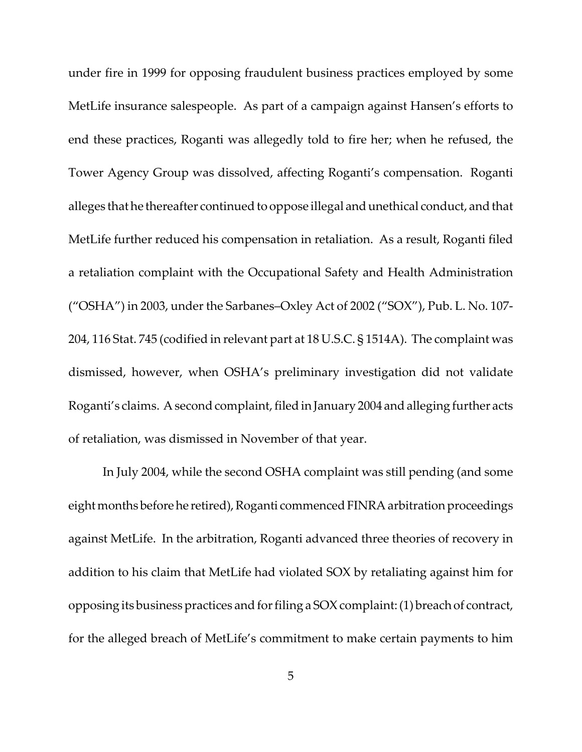under fire in 1999 for opposing fraudulent business practices employed by some MetLife insurance salespeople. As part of a campaign against Hansen's efforts to end these practices, Roganti was allegedly told to fire her; when he refused, the Tower Agency Group was dissolved, affecting Roganti's compensation. Roganti alleges that he thereafter continued to oppose illegal and unethical conduct, and that MetLife further reduced his compensation in retaliation. As a result, Roganti filed a retaliation complaint with the Occupational Safety and Health Administration ("OSHA") in 2003, under the Sarbanes–Oxley Act of 2002 ("SOX"), Pub. L. No. 107‐ 204, 116 Stat. 745 (codified in relevant part at 18 U.S.C. § 1514A). The complaint was dismissed, however, when OSHA's preliminary investigation did not validate Roganti's claims. A second complaint, filed in January 2004 and alleging further acts of retaliation, was dismissed in November of that year.

In July 2004, while the second OSHA complaint was still pending (and some eight months before he retired), Roganti commenced FINRA arbitration proceedings against MetLife. In the arbitration, Roganti advanced three theories of recovery in addition to his claim that MetLife had violated SOX by retaliating against him for opposing its businesspractices andforfiling a SOXcomplaint:(1) breach of contract, for the alleged breach of MetLife's commitment to make certain payments to him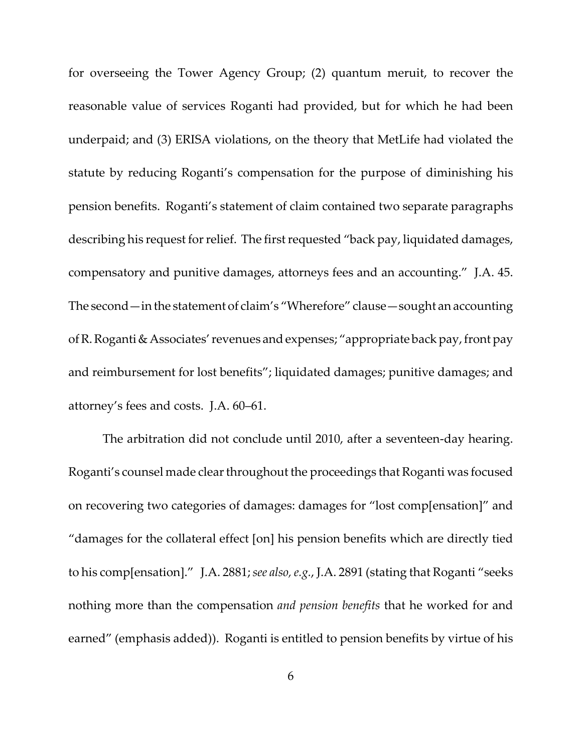for overseeing the Tower Agency Group; (2) quantum meruit, to recover the reasonable value of services Roganti had provided, but for which he had been underpaid; and (3) ERISA violations, on the theory that MetLife had violated the statute by reducing Roganti's compensation for the purpose of diminishing his pension benefits. Roganti's statement of claim contained two separate paragraphs describing his request for relief. The first requested "back pay, liquidated damages, compensatory and punitive damages, attorneys fees and an accounting." J.A. 45. The second—in the statement of claim's "Wherefore" clause—sought an accounting of R. Roganti & Associates' revenues and expenses; "appropriate back pay, front pay and reimbursement for lost benefits"; liquidated damages; punitive damages; and attorney's fees and costs. J.A. 60–61.

The arbitration did not conclude until 2010, after a seventeen-day hearing. Roganti's counsel made clear throughout the proceedings that Roganti was focused on recovering two categories of damages: damages for "lost comp[ensation]" and "damages for the collateral effect [on] his pension benefits which are directly tied to his comp[ensation]." J.A. 2881;*see also,e.g.*, J.A. 2891 (stating that Roganti "seeks nothing more than the compensation *and pension benefits* that he worked for and earned" (emphasis added)). Roganti is entitled to pension benefits by virtue of his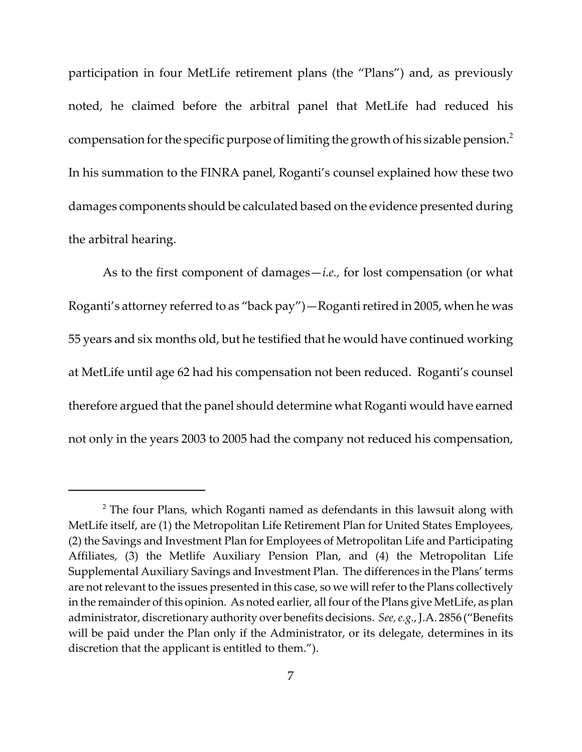participation in four MetLife retirement plans (the "Plans") and, as previously noted, he claimed before the arbitral panel that MetLife had reduced his compensation for the specific purpose of limiting the growth of his sizable pension.<sup>2</sup> In his summation to the FINRA panel, Roganti's counsel explained how these two damages components should be calculated based on the evidence presented during the arbitral hearing.

As to the first component of damages—*i.e.,* for lost compensation (or what Roganti's attorney referred to as "back pay")—Roganti retired in 2005, when he was 55 years and six months old, but he testified that he would have continued working at MetLife until age 62 had his compensation not been reduced. Roganti's counsel therefore argued that the panel should determine what Roganti would have earned not only in the years 2003 to 2005 had the company not reduced his compensation,

 $2$  The four Plans, which Roganti named as defendants in this lawsuit along with MetLife itself, are (1) the Metropolitan Life Retirement Plan for United States Employees, (2) the Savings and Investment Plan for Employees of Metropolitan Life and Participating Affiliates, (3) the Metlife Auxiliary Pension Plan, and (4) the Metropolitan Life Supplemental Auxiliary Savings and Investment Plan. The differences in the Plans' terms are not relevant to the issues presented in this case, so we will refer to the Plans collectively in the remainder of this opinion. As noted earlier, all four of the Plans give MetLife, as plan administrator, discretionary authority over benefits decisions. *See, e.g.*, J.A. 2856 ("Benefits will be paid under the Plan only if the Administrator, or its delegate, determines in its discretion that the applicant is entitled to them.").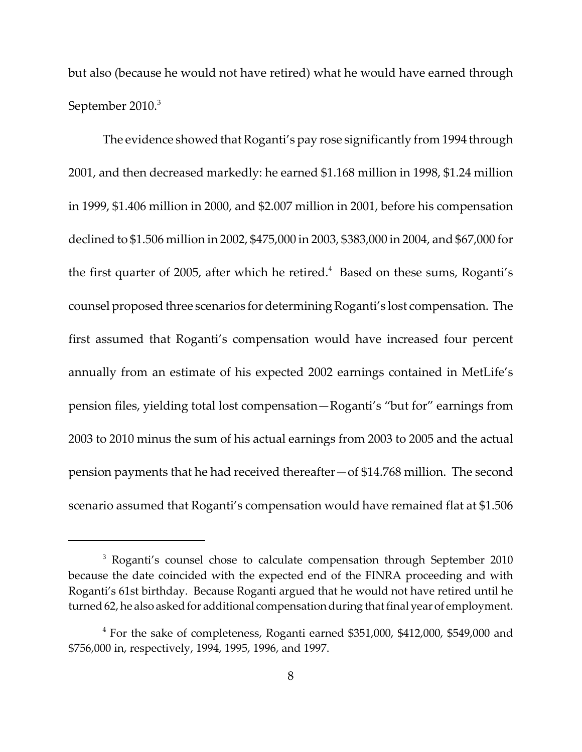but also (because he would not have retired) what he would have earned through September 2010.<sup>3</sup>

The evidence showed that Roganti's pay rose significantly from 1994 through 2001, and then decreased markedly: he earned \$1.168 million in 1998, \$1.24 million in 1999, \$1.406 million in 2000, and \$2.007 million in 2001, before his compensation declined to \$1.506 million in 2002, \$475,000 in 2003, \$383,000 in 2004, and \$67,000 for the first quarter of 2005, after which he retired.<sup>4</sup> Based on these sums, Roganti's counsel proposed three scenarios for determiningRoganti's lost compensation. The first assumed that Roganti's compensation would have increased four percent annually from an estimate of his expected 2002 earnings contained in MetLife's pension files, yielding total lost compensation—Roganti's "but for" earnings from 2003 to 2010 minus the sum of his actual earnings from 2003 to 2005 and the actual pension payments that he had received thereafter—of \$14.768 million. The second scenario assumed that Roganti's compensation would have remained flat at \$1.506

<sup>&</sup>lt;sup>3</sup> Roganti's counsel chose to calculate compensation through September 2010 because the date coincided with the expected end of the FINRA proceeding and with Roganti's 61st birthday. Because Roganti argued that he would not have retired until he turned 62, he also asked for additional compensation during that final year of employment.

<sup>&</sup>lt;sup>4</sup> For the sake of completeness, Roganti earned \$351,000, \$412,000, \$549,000 and \$756,000 in, respectively, 1994, 1995, 1996, and 1997.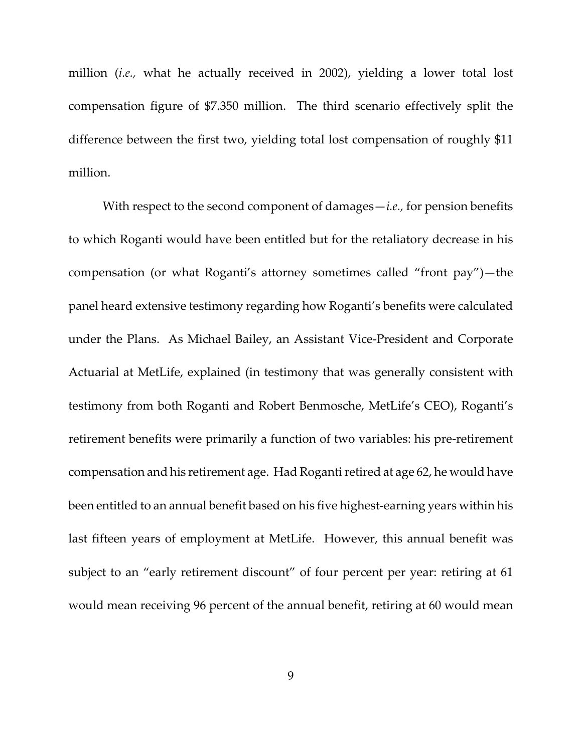million (*i.e.,* what he actually received in 2002), yielding a lower total lost compensation figure of \$7.350 million. The third scenario effectively split the difference between the first two, yielding total lost compensation of roughly \$11 million.

With respect to the second component of damages—*i.e.,* for pension benefits to which Roganti would have been entitled but for the retaliatory decrease in his compensation (or what Roganti's attorney sometimes called "front pay")—the panel heard extensive testimony regarding how Roganti's benefits were calculated under the Plans. As Michael Bailey, an Assistant Vice‐President and Corporate Actuarial at MetLife, explained (in testimony that was generally consistent with testimony from both Roganti and Robert Benmosche, MetLife's CEO), Roganti's retirement benefits were primarily a function of two variables: his pre‐retirement compensation and his retirement age. Had Roganti retired at age 62, he would have been entitled to an annual benefit based on his five highest-earning years within his last fifteen years of employment at MetLife. However, this annual benefit was subject to an "early retirement discount" of four percent per year: retiring at 61 would mean receiving 96 percent of the annual benefit, retiring at 60 would mean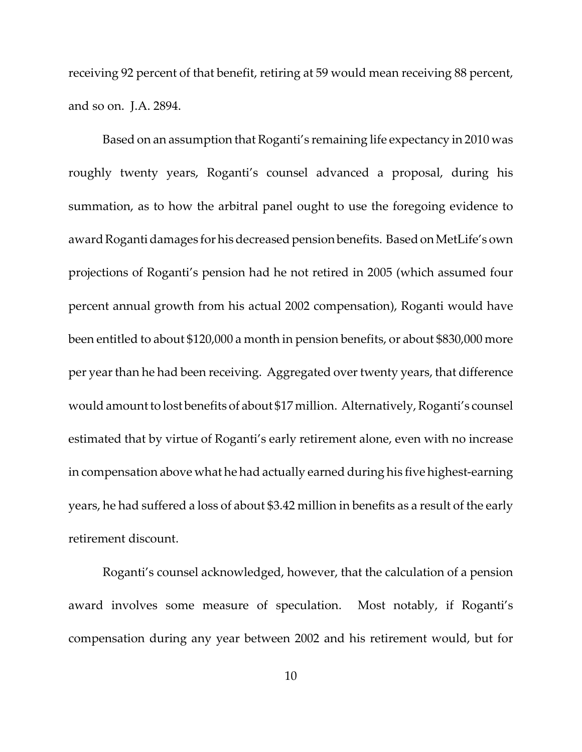receiving 92 percent of that benefit, retiring at 59 would mean receiving 88 percent, and so on. J.A. 2894.

Based on an assumption that Roganti's remaining life expectancy in 2010 was roughly twenty years, Roganti's counsel advanced a proposal, during his summation, as to how the arbitral panel ought to use the foregoing evidence to award Roganti damages for his decreased pension benefits. Based on MetLife's own projections of Roganti's pension had he not retired in 2005 (which assumed four percent annual growth from his actual 2002 compensation), Roganti would have been entitled to about \$120,000 a month in pension benefits, or about \$830,000 more per year than he had been receiving. Aggregated over twenty years, that difference would amount to lost benefits of about \$17 million. Alternatively, Roganti's counsel estimated that by virtue of Roganti's early retirement alone, even with no increase in compensation above what he had actually earned during his five highest-earning years, he had suffered a loss of about \$3.42 million in benefits as a result of the early retirement discount.

Roganti's counsel acknowledged, however, that the calculation of a pension award involves some measure of speculation. Most notably, if Roganti's compensation during any year between 2002 and his retirement would, but for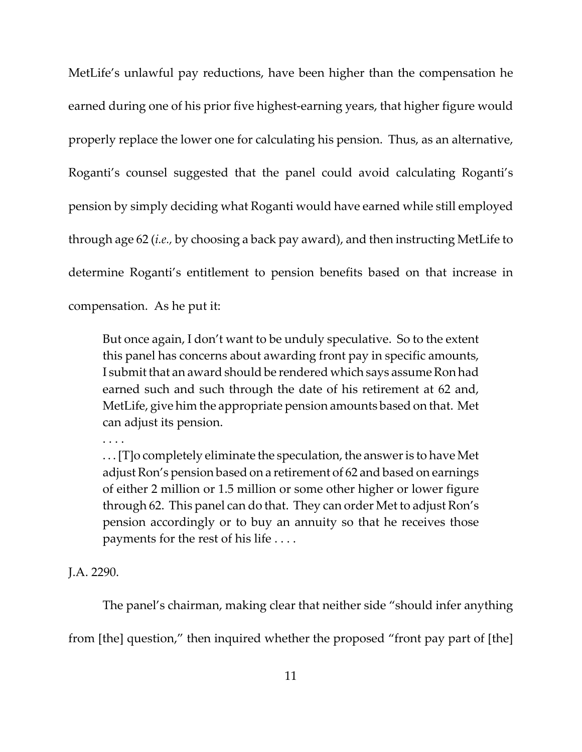MetLife's unlawful pay reductions, have been higher than the compensation he earned during one of his prior five highest-earning years, that higher figure would properly replace the lower one for calculating his pension. Thus, as an alternative, Roganti's counsel suggested that the panel could avoid calculating Roganti's pension by simply deciding what Roganti would have earned while still employed through age 62 (*i.e.,* by choosing a back pay award), and then instructing MetLife to determine Roganti's entitlement to pension benefits based on that increase in compensation. As he put it:

But once again, I don't want to be unduly speculative. So to the extent this panel has concerns about awarding front pay in specific amounts, I submit that an award should be rendered which says assume Ron had earned such and such through the date of his retirement at 62 and, MetLife, give him the appropriate pension amounts based on that. Met can adjust its pension.

. . . .

. . . [T]o completely eliminate the speculation, the answeris to have Met adjust Ron's pension based on a retirement of 62 and based on earnings of either 2 million or 1.5 million or some other higher or lower figure through 62. This panel can do that. They can order Met to adjust Ron's pension accordingly or to buy an annuity so that he receives those payments for the rest of his life . . . .

J.A. 2290.

The panel's chairman, making clear that neither side "should infer anything from [the] question," then inquired whether the proposed "front pay part of [the]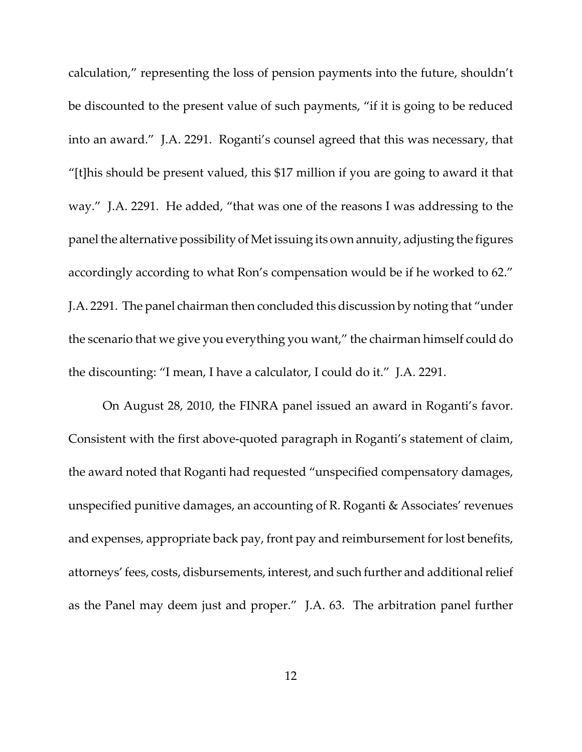calculation," representing the loss of pension payments into the future, shouldn't be discounted to the present value of such payments, "if it is going to be reduced into an award." J.A. 2291. Roganti's counsel agreed that this was necessary, that "[t]his should be present valued, this \$17 million if you are going to award it that way." J.A. 2291. He added, "that was one of the reasons I was addressing to the panel the alternative possibility of Met issuing its own annuity, adjusting the figures accordingly according to what Ron's compensation would be if he worked to 62." J.A. 2291. The panel chairman then concluded this discussion by noting that "under the scenario that we give you everything you want," the chairman himself could do the discounting: "I mean, I have a calculator, I could do it." J.A. 2291.

On August 28, 2010, the FINRA panel issued an award in Roganti's favor. Consistent with the first above‐quoted paragraph in Roganti's statement of claim, the award noted that Roganti had requested "unspecified compensatory damages, unspecified punitive damages, an accounting of R. Roganti & Associates' revenues and expenses, appropriate back pay, front pay and reimbursement for lost benefits, attorneys' fees, costs, disbursements, interest, and such further and additional relief as the Panel may deem just and proper." J.A. 63. The arbitration panel further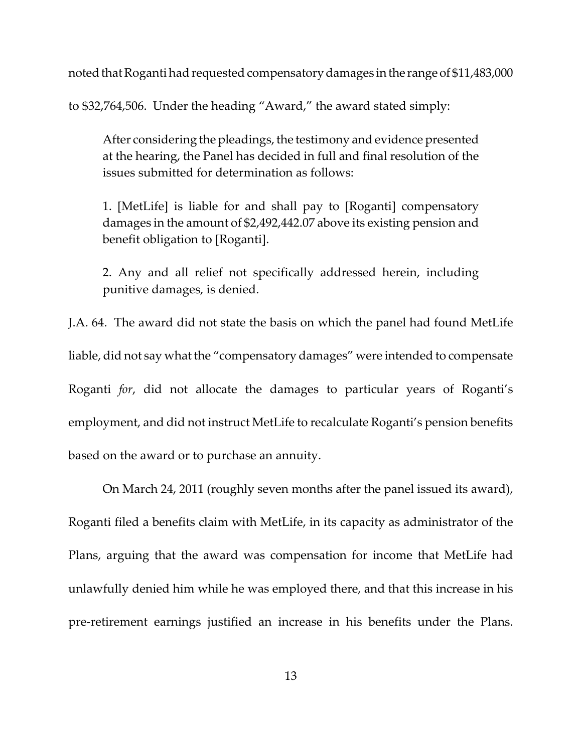noted that Roganti had requested compensatory damages in the range of \$11,483,000

to \$32,764,506. Under the heading "Award," the award stated simply:

After considering the pleadings, the testimony and evidence presented at the hearing, the Panel has decided in full and final resolution of the issues submitted for determination as follows:

1. [MetLife] is liable for and shall pay to [Roganti] compensatory damages in the amount of \$2,492,442.07 above its existing pension and benefit obligation to [Roganti].

2. Any and all relief not specifically addressed herein, including punitive damages, is denied.

J.A. 64. The award did not state the basis on which the panel had found MetLife liable, did not say what the "compensatory damages" were intended to compensate Roganti *for*, did not allocate the damages to particular years of Roganti's employment, and did not instruct MetLife to recalculate Roganti's pension benefits based on the award or to purchase an annuity.

On March 24, 2011 (roughly seven months after the panel issued its award), Roganti filed a benefits claim with MetLife, in its capacity as administrator of the Plans, arguing that the award was compensation for income that MetLife had unlawfully denied him while he was employed there, and that this increase in his pre‐retirement earnings justified an increase in his benefits under the Plans.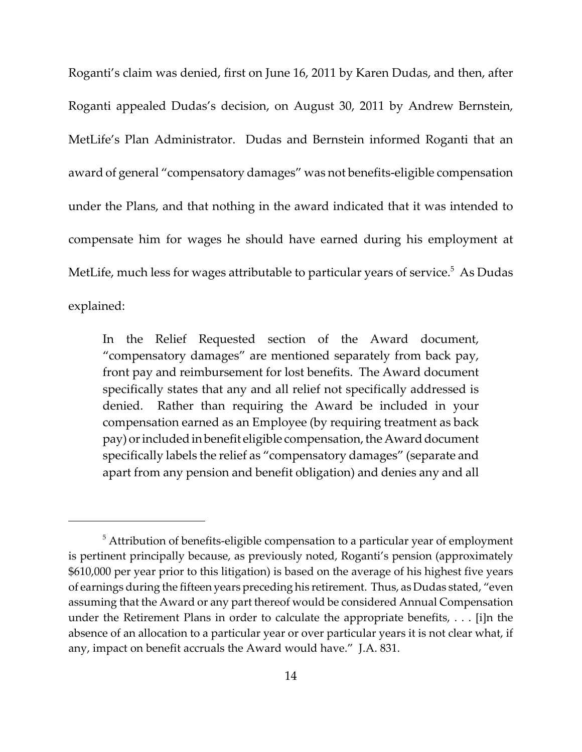Roganti's claim was denied, first on June 16, 2011 by Karen Dudas, and then, after Roganti appealed Dudas's decision, on August 30, 2011 by Andrew Bernstein, MetLife's Plan Administrator. Dudas and Bernstein informed Roganti that an award of general "compensatory damages" was not benefits‐eligible compensation under the Plans, and that nothing in the award indicated that it was intended to compensate him for wages he should have earned during his employment at MetLife, much less for wages attributable to particular years of service. $^5\,$  As Dudas explained:

In the Relief Requested section of the Award document, "compensatory damages" are mentioned separately from back pay, front pay and reimbursement for lost benefits. The Award document specifically states that any and all relief not specifically addressed is denied. Rather than requiring the Award be included in your compensation earned as an Employee (by requiring treatment as back pay) or included in benefit eligible compensation, the Award document specifically labels the relief as "compensatory damages" (separate and apart from any pension and benefit obligation) and denies any and all

 $5$  Attribution of benefits-eligible compensation to a particular year of employment is pertinent principally because, as previously noted, Roganti's pension (approximately \$610,000 per year prior to this litigation) is based on the average of his highest five years of earnings during the fifteen years preceding his retirement. Thus, as Dudas stated, "even assuming that the Award or any part thereof would be considered Annual Compensation under the Retirement Plans in order to calculate the appropriate benefits, . . . [i]n the absence of an allocation to a particular year or over particular years it is not clear what, if any, impact on benefit accruals the Award would have." J.A. 831.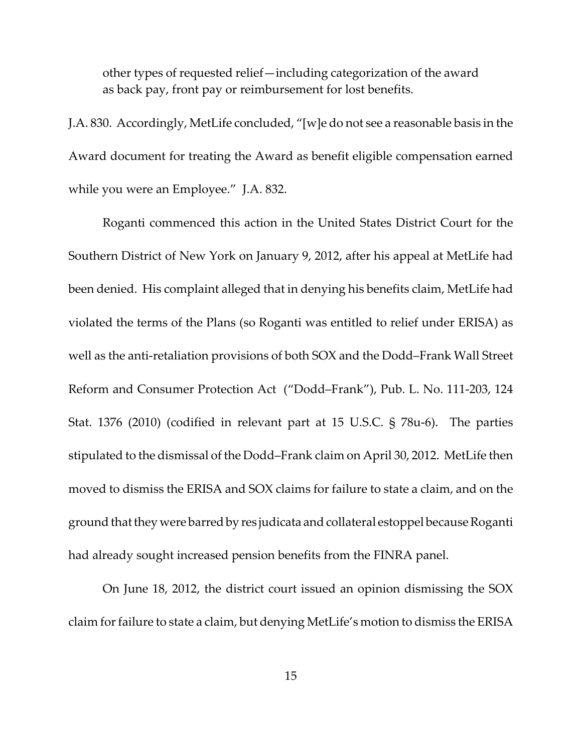other types of requested relief—including categorization of the award as back pay, front pay or reimbursement for lost benefits.

J.A. 830. Accordingly, MetLife concluded, "[w]e do not see a reasonable basis in the Award document for treating the Award as benefit eligible compensation earned while you were an Employee." J.A. 832.

Roganti commenced this action in the United States District Court for the Southern District of New York on January 9, 2012, after his appeal at MetLife had been denied. His complaint alleged that in denying his benefits claim, MetLife had violated the terms of the Plans (so Roganti was entitled to relief under ERISA) as well as the anti-retaliation provisions of both SOX and the Dodd–Frank Wall Street Reform and Consumer Protection Act ("Dodd–Frank"), Pub. L. No. 111‐203, 124 Stat. 1376 (2010) (codified in relevant part at 15 U.S.C. § 78u‐6). The parties stipulated to the dismissal of the Dodd–Frank claim on April 30, 2012. MetLife then moved to dismiss the ERISA and SOX claims for failure to state a claim, and on the ground that they were barred by res judicata and collateral estoppel because Roganti had already sought increased pension benefits from the FINRA panel.

On June 18, 2012, the district court issued an opinion dismissing the SOX claim for failure to state a claim, but denying MetLife's motion to dismiss the ERISA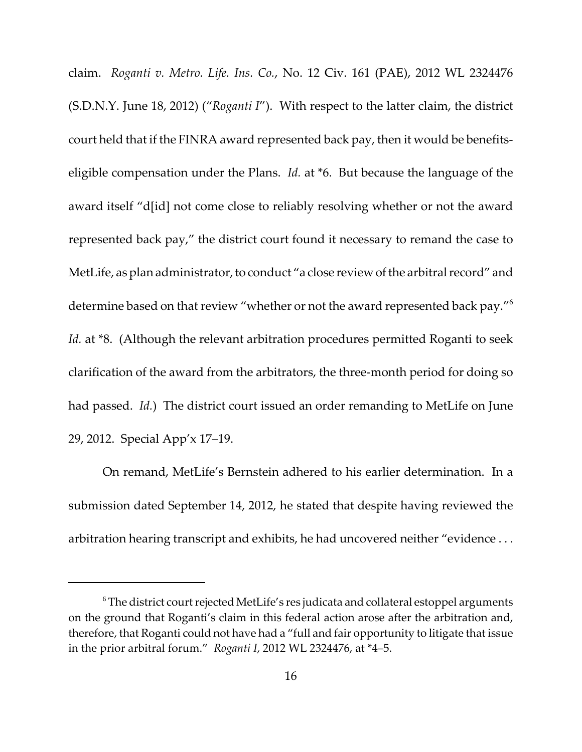claim. *Roganti v. Metro. Life. Ins. Co.*, No. 12 Civ. 161 (PAE), 2012 WL 2324476 (S.D.N.Y. June 18, 2012) ("*Roganti I*"). With respect to the latter claim, the district court held that if the FINRA award represented back pay, then it would be benefits‐ eligible compensation under the Plans. *Id.* at \*6. But because the language of the award itself "d[id] not come close to reliably resolving whether or not the award represented back pay," the district court found it necessary to remand the case to MetLife, as plan administrator, to conduct "a close review of the arbitral record" and determine based on that review "whether or not the award represented back pay."<sup>6</sup> *Id.* at \*8. (Although the relevant arbitration procedures permitted Roganti to seek clarification of the award from the arbitrators, the three‐month period for doing so had passed. *Id.*) The district court issued an order remanding to MetLife on June 29, 2012. Special App'x 17–19.

On remand, MetLife's Bernstein adhered to his earlier determination. In a submission dated September 14, 2012, he stated that despite having reviewed the arbitration hearing transcript and exhibits, he had uncovered neither "evidence . . .

 $6$  The district court rejected MetLife's res judicata and collateral estoppel arguments on the ground that Roganti's claim in this federal action arose after the arbitration and, therefore, that Roganti could not have had a "full and fair opportunity to litigate that issue in the prior arbitral forum." *Roganti I*, 2012 WL 2324476, at \*4–5.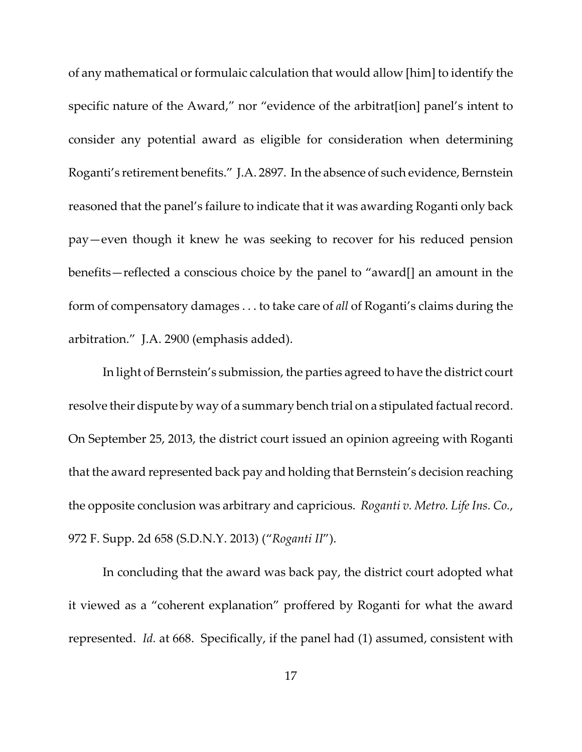of any mathematical or formulaic calculation that would allow [him] to identify the specific nature of the Award," nor "evidence of the arbitrat[ion] panel's intent to consider any potential award as eligible for consideration when determining Roganti's retirement benefits." J.A. 2897. In the absence of such evidence, Bernstein reasoned that the panel's failure to indicate that it was awarding Roganti only back pay—even though it knew he was seeking to recover for his reduced pension benefits—reflected a conscious choice by the panel to "award[] an amount in the form of compensatory damages . . . to take care of *all* of Roganti's claims during the arbitration." J.A. 2900 (emphasis added).

In light of Bernstein's submission, the parties agreed to have the district court resolve their dispute by way of a summary bench trial on a stipulated factual record. On September 25, 2013, the district court issued an opinion agreeing with Roganti that the award represented back pay and holding that Bernstein's decision reaching the opposite conclusion was arbitrary and capricious. *Roganti v. Metro. Life Ins. Co.*, 972 F. Supp. 2d 658 (S.D.N.Y. 2013) ("*Roganti II*").

In concluding that the award was back pay, the district court adopted what it viewed as a "coherent explanation" proffered by Roganti for what the award represented. *Id.* at 668. Specifically, if the panel had (1) assumed, consistent with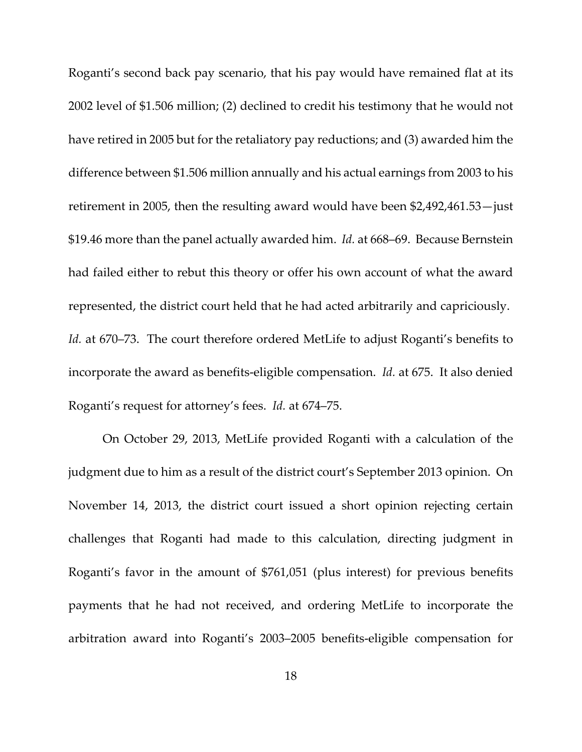Roganti's second back pay scenario, that his pay would have remained flat at its 2002 level of \$1.506 million; (2) declined to credit his testimony that he would not have retired in 2005 but for the retaliatory pay reductions; and (3) awarded him the difference between \$1.506 million annually and his actual earnings from 2003 to his retirement in 2005, then the resulting award would have been \$2,492,461.53—just \$19.46 more than the panel actually awarded him. *Id.* at 668–69. Because Bernstein had failed either to rebut this theory or offer his own account of what the award represented, the district court held that he had acted arbitrarily and capriciously. *Id.* at 670–73. The court therefore ordered MetLife to adjust Roganti's benefits to incorporate the award as benefits‐eligible compensation. *Id.* at 675. It also denied Roganti's request for attorney's fees. *Id.* at 674–75.

On October 29, 2013, MetLife provided Roganti with a calculation of the judgment due to him as a result of the district court's September 2013 opinion. On November 14, 2013, the district court issued a short opinion rejecting certain challenges that Roganti had made to this calculation, directing judgment in Roganti's favor in the amount of \$761,051 (plus interest) for previous benefits payments that he had not received, and ordering MetLife to incorporate the arbitration award into Roganti's 2003–2005 benefits‐eligible compensation for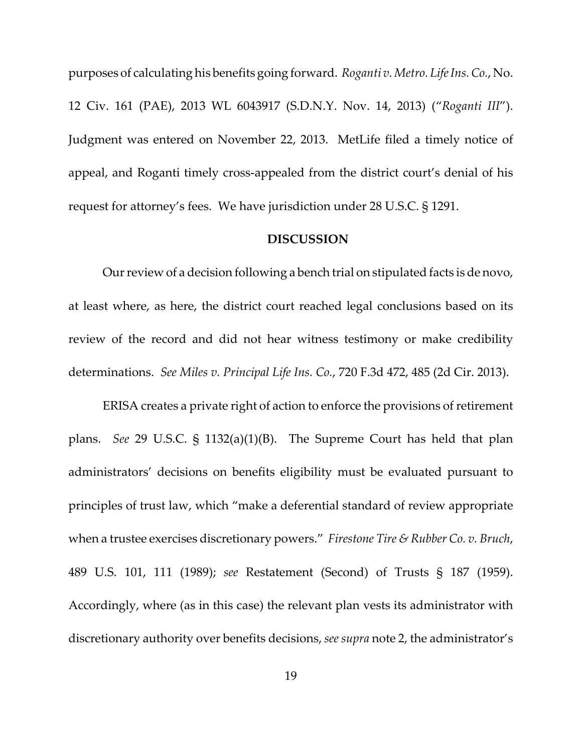purposes of calculating his benefits going forward. *Roganti v. Metro. LifeIns.Co.*, No. 12 Civ. 161 (PAE), 2013 WL 6043917 (S.D.N.Y. Nov. 14, 2013) ("*Roganti III*"). Judgment was entered on November 22, 2013. MetLife filed a timely notice of appeal, and Roganti timely cross‐appealed from the district court's denial of his request for attorney's fees. We have jurisdiction under 28 U.S.C. § 1291.

### **DISCUSSION**

Our review of a decision following a bench trial on stipulated facts is de novo, at least where, as here, the district court reached legal conclusions based on its review of the record and did not hear witness testimony or make credibility determinations. *See Miles v. Principal Life Ins. Co.*, 720 F.3d 472, 485 (2d Cir. 2013).

ERISA creates a private right of action to enforce the provisions of retirement plans. *See* 29 U.S.C. § 1132(a)(1)(B). The Supreme Court has held that plan administrators' decisions on benefits eligibility must be evaluated pursuant to principles of trust law, which "make a deferential standard of review appropriate when a trustee exercises discretionary powers." *Firestone Tire & Rubber Co. v. Bruch*, 489 U.S. 101, 111 (1989); *see* Restatement (Second) of Trusts § 187 (1959). Accordingly, where (as in this case) the relevant plan vests its administrator with discretionary authority over benefits decisions, *see supra* note 2, the administrator's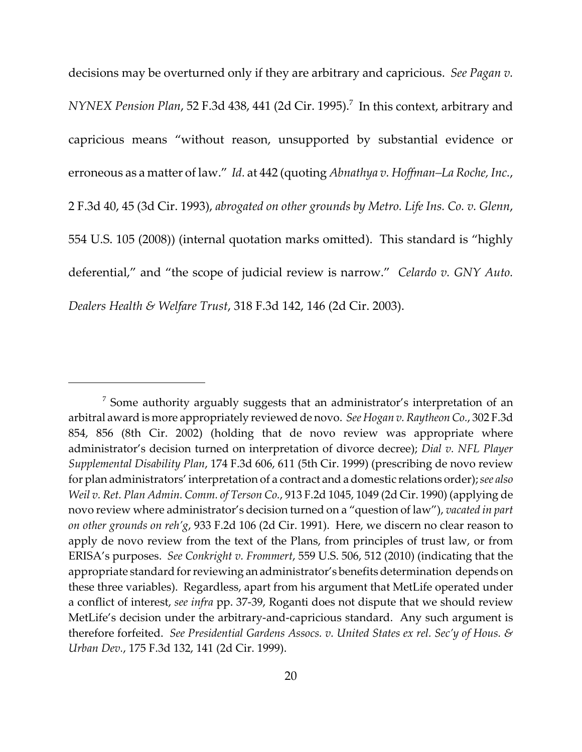decisions may be overturned only if they are arbitrary and capricious. *See Pagan v. NYNEX Pension Plan,* 52 F.3d 438, 441 (2d Cir. 1995).<sup>7</sup> In this context, arbitrary and capricious means "without reason, unsupported by substantial evidence or erroneous as a matter of law." *Id.* at 442 (quoting *Abnathya v. Hoffman–La Roche, Inc.*, 2 F.3d 40, 45 (3d Cir. 1993), *abrogated on other grounds by Metro. Life Ins. Co. v. Glenn*, 554 U.S. 105 (2008)) (internal quotation marks omitted). This standard is "highly deferential," and "the scope of judicial review is narrow." *Celardo v. GNY Auto. Dealers Health & Welfare Trust*, 318 F.3d 142, 146 (2d Cir. 2003).

<sup>&</sup>lt;sup>7</sup> Some authority arguably suggests that an administrator's interpretation of an arbitral award is more appropriately reviewed de novo. *See Hogan v.RaytheonCo.*, 302 F.3d 854, 856 (8th Cir. 2002) (holding that de novo review was appropriate where administrator's decision turned on interpretation of divorce decree); *Dial v. NFL Player Supplemental Disability Plan*, 174 F.3d 606, 611 (5th Cir. 1999) (prescribing de novo review for plan administrators' interpretation of a contract and a domestic relations order);*see also Weil v. Ret. Plan Admin. Comm. of Terson Co.*, 913 F.2d 1045, 1049 (2d Cir. 1990) (applying de novo review where administrator's decision turned on a "question of law"), *vacated in part on other grounds on reh'g*, 933 F.2d 106 (2d Cir. 1991). Here, we discern no clear reason to apply de novo review from the text of the Plans, from principles of trust law, or from ERISA's purposes. *See Conkright v. Frommert*, 559 U.S. 506, 512 (2010) (indicating that the appropriate standard forreviewing an administrator's benefits determination depends on these three variables). Regardless, apart from his argument that MetLife operated under a conflict of interest, *see infra* pp. 37‐39, Roganti does not dispute that we should review MetLife's decision under the arbitrary-and-capricious standard. Any such argument is therefore forfeited. *See Presidential Gardens Assocs. v. United States ex rel. Sec'y of Hous. & Urban Dev.*, 175 F.3d 132, 141 (2d Cir. 1999).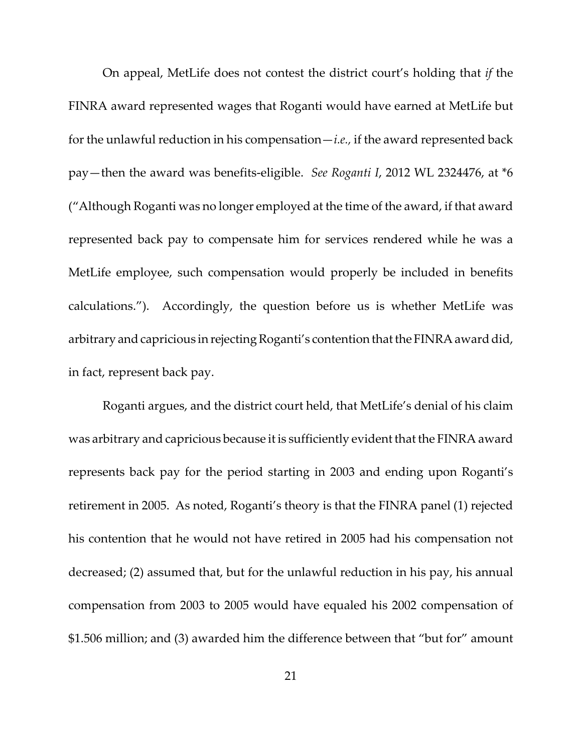On appeal, MetLife does not contest the district court's holding that *if* the FINRA award represented wages that Roganti would have earned at MetLife but for the unlawful reduction in his compensation—*i.e.,* if the award represented back pay—then the award was benefits‐eligible. *See Roganti I*, 2012 WL 2324476, at \*6 ("Although Roganti was no longer employed at the time of the award, if that award represented back pay to compensate him for services rendered while he was a MetLife employee, such compensation would properly be included in benefits calculations."). Accordingly, the question before us is whether MetLife was arbitrary and capricious in rejecting Roganti's contention that the FINRA award did, in fact, represent back pay.

Roganti argues, and the district court held, that MetLife's denial of his claim was arbitrary and capricious because it is sufficiently evident that the FINRA award represents back pay for the period starting in 2003 and ending upon Roganti's retirement in 2005. As noted, Roganti's theory is that the FINRA panel (1) rejected his contention that he would not have retired in 2005 had his compensation not decreased; (2) assumed that, but for the unlawful reduction in his pay, his annual compensation from 2003 to 2005 would have equaled his 2002 compensation of \$1.506 million; and (3) awarded him the difference between that "but for" amount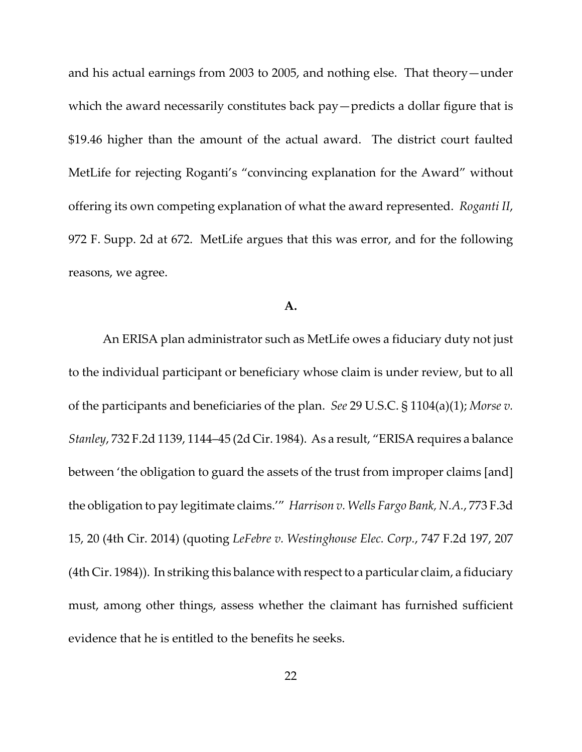and his actual earnings from 2003 to 2005, and nothing else. That theory—under which the award necessarily constitutes back pay—predicts a dollar figure that is \$19.46 higher than the amount of the actual award. The district court faulted MetLife for rejecting Roganti's "convincing explanation for the Award" without offering its own competing explanation of what the award represented. *Roganti II*, 972 F. Supp. 2d at 672. MetLife argues that this was error, and for the following reasons, we agree.

#### **A.**

An ERISA plan administrator such as MetLife owes a fiduciary duty not just to the individual participant or beneficiary whose claim is under review, but to all of the participants and beneficiaries of the plan. *See* 29 U.S.C. § 1104(a)(1); *Morse v. Stanley*, 732 F.2d 1139, 1144–45 (2d Cir. 1984). As a result, "ERISA requires a balance between 'the obligation to guard the assets of the trust from improper claims [and] the obligation to pay legitimate claims.'" *Harrison v. Wells Fargo Bank, N.A.*, 773 F.3d 15, 20 (4th Cir. 2014) (quoting *LeFebre v. Westinghouse Elec. Corp.*, 747 F.2d 197, 207  $(4th Cir. 1984)$ ). In striking this balance with respect to a particular claim, a fiduciary must, among other things, assess whether the claimant has furnished sufficient evidence that he is entitled to the benefits he seeks.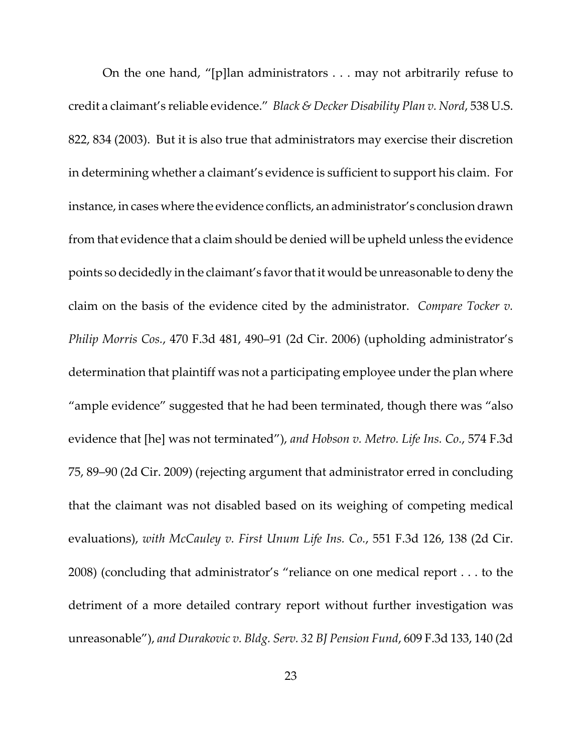On the one hand, "[p]lan administrators . . . may not arbitrarily refuse to credit a claimant's reliable evidence." *Black & Decker Disability Plan v. Nord*, 538 U.S. 822, 834 (2003). But it is also true that administrators may exercise their discretion in determining whether a claimant's evidence is sufficient to support his claim. For instance, in cases where the evidence conflicts, an administrator's conclusion drawn from that evidence that a claim should be denied will be upheld unless the evidence points so decidedly in the claimant's favorthatit would be unreasonable to deny the claim on the basis of the evidence cited by the administrator. *Compare Tocker v. Philip Morris Cos.*, 470 F.3d 481, 490–91 (2d Cir. 2006) (upholding administrator's determination that plaintiff was not a participating employee under the plan where "ample evidence" suggested that he had been terminated, though there was "also evidence that [he] was not terminated"), *and Hobson v. Metro. Life Ins. Co.*, 574 F.3d 75, 89–90 (2d Cir. 2009) (rejecting argument that administrator erred in concluding that the claimant was not disabled based on its weighing of competing medical evaluations), *with McCauley v. First Unum Life Ins. Co.*, 551 F.3d 126, 138 (2d Cir. 2008) (concluding that administrator's "reliance on one medical report . . . to the detriment of a more detailed contrary report without further investigation was unreasonable"), *and Durakovic v. Bldg. Serv. 32 BJ Pension Fund*, 609 F.3d 133, 140 (2d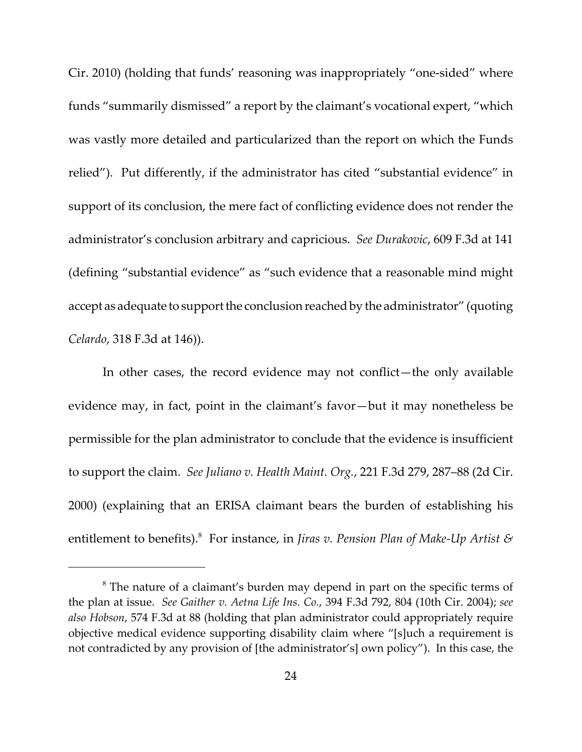Cir. 2010) (holding that funds' reasoning was inappropriately "one‐sided" where funds "summarily dismissed" a report by the claimant's vocational expert, "which was vastly more detailed and particularized than the report on which the Funds relied"). Put differently, if the administrator has cited "substantial evidence" in support of its conclusion, the mere fact of conflicting evidence does not render the administrator's conclusion arbitrary and capricious. *See Durakovic*, 609 F.3d at 141 (defining "substantial evidence" as "such evidence that a reasonable mind might accept as adequate to support the conclusion reached by the administrator" (quoting *Celardo*, 318 F.3d at 146)).

In other cases, the record evidence may not conflict—the only available evidence may, in fact, point in the claimant's favor—but it may nonetheless be permissible for the plan administrator to conclude that the evidence is insufficient to support the claim. *See Juliano v. Health Maint. Org.*, 221 F.3d 279, 287–88 (2d Cir. 2000) (explaining that an ERISA claimant bears the burden of establishing his entitlement to benefits).8 For instance, in *Jiras v. Pension Plan of Make‐Up Artist &*

<sup>&</sup>lt;sup>8</sup> The nature of a claimant's burden may depend in part on the specific terms of the plan at issue. *See Gaither v. Aetna Life Ins. Co.*, 394 F.3d 792, 804 (10th Cir. 2004); *see also Hobson*, 574 F.3d at 88 (holding that plan administrator could appropriately require objective medical evidence supporting disability claim where "[s]uch a requirement is not contradicted by any provision of [the administrator's] own policy"). In this case, the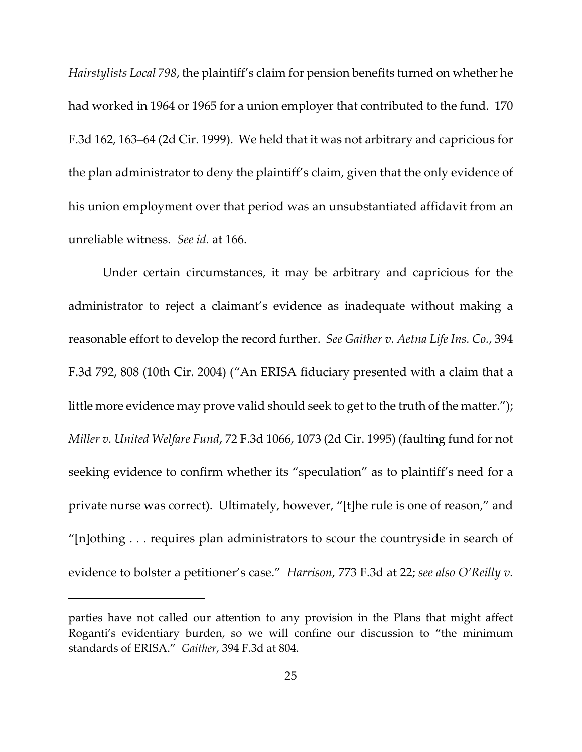*Hairstylists Local 798*, the plaintiff's claim for pension benefits turned on whether he had worked in 1964 or 1965 for a union employer that contributed to the fund. 170 F.3d 162, 163–64 (2d Cir. 1999). We held that it was not arbitrary and capricious for the plan administrator to deny the plaintiff's claim, given that the only evidence of his union employment over that period was an unsubstantiated affidavit from an unreliable witness. *See id.* at 166.

Under certain circumstances, it may be arbitrary and capricious for the administrator to reject a claimant's evidence as inadequate without making a reasonable effort to develop the record further. *See Gaither v. Aetna Life Ins. Co.*, 394 F.3d 792, 808 (10th Cir. 2004) ("An ERISA fiduciary presented with a claim that a little more evidence may prove valid should seek to get to the truth of the matter."); *Miller v. United Welfare Fund*, 72 F.3d 1066, 1073 (2d Cir. 1995) (faulting fund for not seeking evidence to confirm whether its "speculation" as to plaintiff's need for a private nurse was correct). Ultimately, however, "[t]he rule is one of reason," and "[n]othing . . . requires plan administrators to scour the countryside in search of evidence to bolster a petitioner's case." *Harrison*, 773 F.3d at 22; *see also O'Reilly v.*

parties have not called our attention to any provision in the Plans that might affect Roganti's evidentiary burden, so we will confine our discussion to "the minimum standards of ERISA." *Gaither*, 394 F.3d at 804.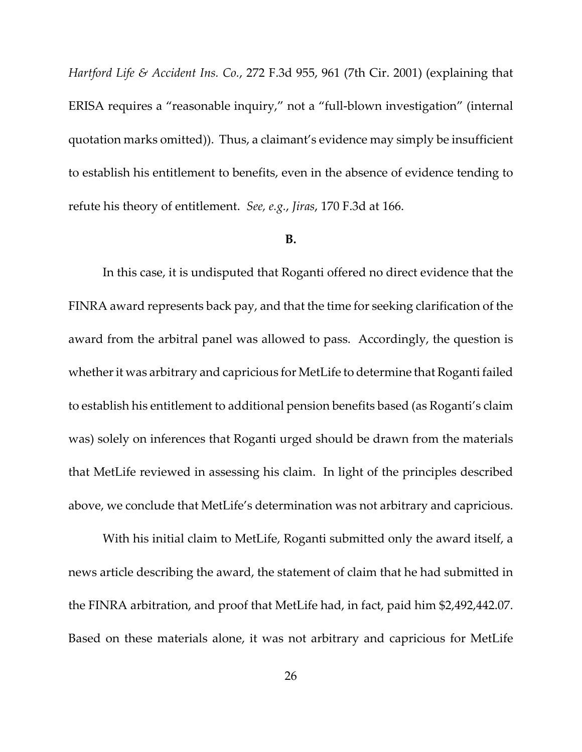*Hartford Life & Accident Ins. Co.*, 272 F.3d 955, 961 (7th Cir. 2001) (explaining that ERISA requires a "reasonable inquiry," not a "full‐blown investigation" (internal quotation marks omitted)). Thus, a claimant's evidence may simply be insufficient to establish his entitlement to benefits, even in the absence of evidence tending to refute his theory of entitlement. *See, e.g.*, *Jiras*, 170 F.3d at 166.

#### **B.**

In this case, it is undisputed that Roganti offered no direct evidence that the FINRA award represents back pay, and that the time for seeking clarification of the award from the arbitral panel was allowed to pass. Accordingly, the question is whether it was arbitrary and capricious for MetLife to determine that Roganti failed to establish his entitlement to additional pension benefits based (as Roganti's claim was) solely on inferences that Roganti urged should be drawn from the materials that MetLife reviewed in assessing his claim. In light of the principles described above, we conclude that MetLife's determination was not arbitrary and capricious.

With his initial claim to MetLife, Roganti submitted only the award itself, a news article describing the award, the statement of claim that he had submitted in the FINRA arbitration, and proof that MetLife had, in fact, paid him \$2,492,442.07. Based on these materials alone, it was not arbitrary and capricious for MetLife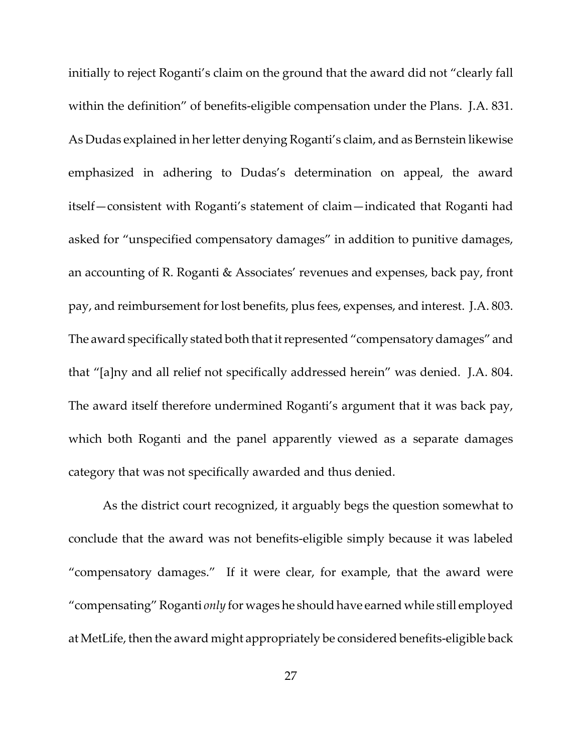initially to reject Roganti's claim on the ground that the award did not "clearly fall within the definition" of benefits-eligible compensation under the Plans. J.A. 831. As Dudas explained in her letter denying Roganti's claim, and as Bernstein likewise emphasized in adhering to Dudas's determination on appeal, the award itself—consistent with Roganti's statement of claim—indicated that Roganti had asked for "unspecified compensatory damages" in addition to punitive damages, an accounting of R. Roganti & Associates' revenues and expenses, back pay, front pay, and reimbursement forlost benefits, plus fees, expenses, and interest. J.A. 803. The award specifically stated both that it represented "compensatory damages" and that "[a]ny and all relief not specifically addressed herein" was denied. J.A. 804. The award itself therefore undermined Roganti's argument that it was back pay, which both Roganti and the panel apparently viewed as a separate damages category that was not specifically awarded and thus denied.

As the district court recognized, it arguably begs the question somewhat to conclude that the award was not benefits‐eligible simply because it was labeled "compensatory damages." If it were clear, for example, that the award were "compensating"Roganti *only* for wages he should have earned while still employed at MetLife, then the award might appropriately be considered benefits‐eligible back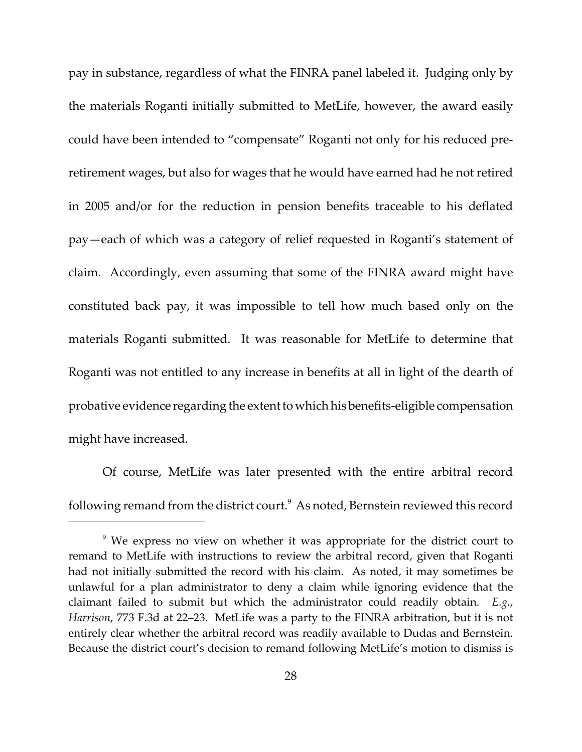pay in substance, regardless of what the FINRA panel labeled it. Judging only by the materials Roganti initially submitted to MetLife, however, the award easily could have been intended to "compensate" Roganti not only for his reduced pre‐ retirement wages, but also for wages that he would have earned had he not retired in 2005 and/or for the reduction in pension benefits traceable to his deflated pay—each of which was a category of relief requested in Roganti's statement of claim. Accordingly, even assuming that some of the FINRA award might have constituted back pay, it was impossible to tell how much based only on the materials Roganti submitted. It was reasonable for MetLife to determine that Roganti was not entitled to any increase in benefits at all in light of the dearth of probative evidence regarding the extent to which his benefits-eligible compensation might have increased.

Of course, MetLife was later presented with the entire arbitral record following remand from the district court. $^9$  As noted, Bernstein reviewed this record

<sup>&</sup>lt;sup>9</sup> We express no view on whether it was appropriate for the district court to remand to MetLife with instructions to review the arbitral record, given that Roganti had not initially submitted the record with his claim. As noted, it may sometimes be unlawful for a plan administrator to deny a claim while ignoring evidence that the claimant failed to submit but which the administrator could readily obtain. *E.g.*, *Harrison*, 773 F.3d at 22–23. MetLife was a party to the FINRA arbitration, but it is not entirely clear whether the arbitral record was readily available to Dudas and Bernstein. Because the district court's decision to remand following MetLife's motion to dismiss is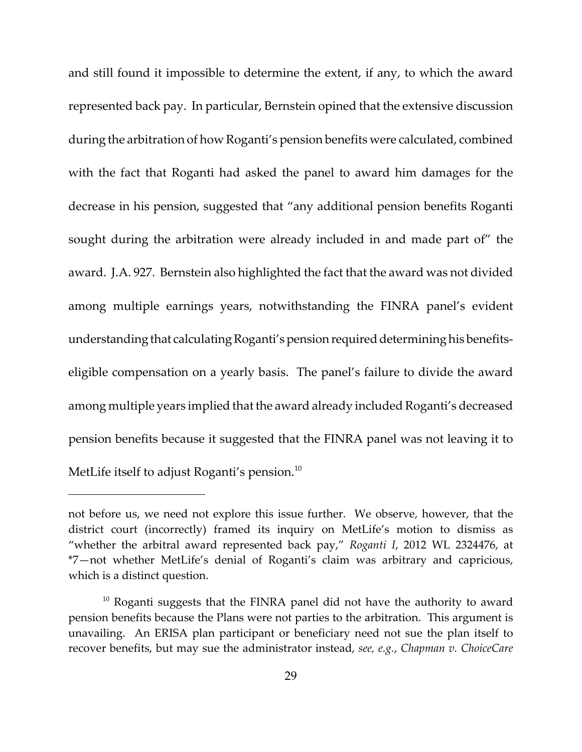and still found it impossible to determine the extent, if any, to which the award represented back pay. In particular, Bernstein opined that the extensive discussion during the arbitration of how Roganti's pension benefits were calculated, combined with the fact that Roganti had asked the panel to award him damages for the decrease in his pension, suggested that "any additional pension benefits Roganti sought during the arbitration were already included in and made part of" the award. J.A. 927. Bernstein also highlighted the fact that the award was not divided among multiple earnings years, notwithstanding the FINRA panel's evident understanding that calculating Roganti's pension required determining his benefitseligible compensation on a yearly basis. The panel's failure to divide the award among multiple years implied that the award already included Roganti's decreased pension benefits because it suggested that the FINRA panel was not leaving it to MetLife itself to adjust Roganti's pension.<sup>10</sup>

not before us, we need not explore this issue further. We observe, however, that the district court (incorrectly) framed its inquiry on MetLife's motion to dismiss as "whether the arbitral award represented back pay," *Roganti I*, 2012 WL 2324476, at \*7—not whether MetLife's denial of Roganti's claim was arbitrary and capricious, which is a distinct question.

 $10$  Roganti suggests that the FINRA panel did not have the authority to award pension benefits because the Plans were not parties to the arbitration. This argument is unavailing. An ERISA plan participant or beneficiary need not sue the plan itself to recover benefits, but may sue the administrator instead, *see, e.g.*, *Chapman v. ChoiceCare*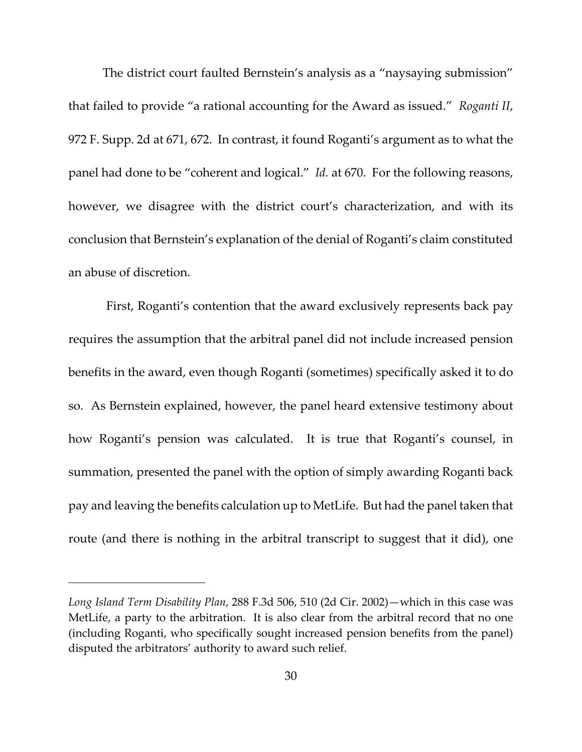The district court faulted Bernstein's analysis as a "naysaying submission" that failed to provide "a rational accounting for the Award as issued." *Roganti II*, 972 F. Supp. 2d at 671, 672. In contrast, it found Roganti's argument as to what the panel had done to be "coherent and logical." *Id.* at 670. For the following reasons, however, we disagree with the district court's characterization, and with its conclusion that Bernstein's explanation of the denial of Roganti's claim constituted an abuse of discretion.

First, Roganti's contention that the award exclusively represents back pay requires the assumption that the arbitral panel did not include increased pension benefits in the award, even though Roganti (sometimes) specifically asked it to do so. As Bernstein explained, however, the panel heard extensive testimony about how Roganti's pension was calculated. It is true that Roganti's counsel, in summation, presented the panel with the option of simply awarding Roganti back pay and leaving the benefits calculation up to MetLife. But had the panel taken that route (and there is nothing in the arbitral transcript to suggest that it did), one

*Long Island Term Disability Plan*, 288 F.3d 506, 510 (2d Cir. 2002)—which in this case was MetLife, a party to the arbitration. It is also clear from the arbitral record that no one (including Roganti, who specifically sought increased pension benefits from the panel) disputed the arbitrators' authority to award such relief.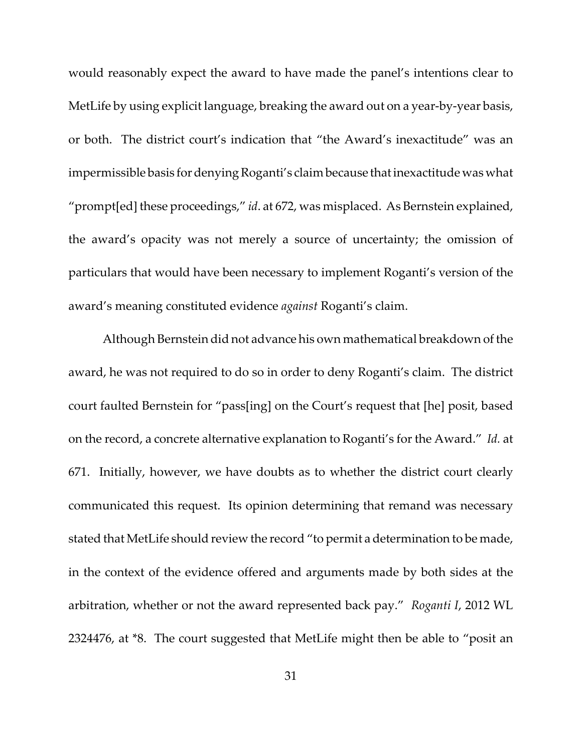would reasonably expect the award to have made the panel's intentions clear to MetLife by using explicit language, breaking the award out on a year-by-year basis, or both. The district court's indication that "the Award's inexactitude" was an impermissible basis for denying Roganti's claim because that inexactitude was what "prompt[ed] these proceedings," *id*. at 672, was misplaced. As Bernstein explained, the award's opacity was not merely a source of uncertainty; the omission of particulars that would have been necessary to implement Roganti's version of the award's meaning constituted evidence *against* Roganti's claim.

Although Bernstein did not advance his own mathematical breakdown of the award, he was not required to do so in order to deny Roganti's claim. The district court faulted Bernstein for "pass[ing] on the Court's request that [he] posit, based on the record, a concrete alternative explanation to Roganti's for the Award." *Id.* at 671. Initially, however, we have doubts as to whether the district court clearly communicated this request. Its opinion determining that remand was necessary stated that MetLife should review the record "to permit a determination to be made, in the context of the evidence offered and arguments made by both sides at the arbitration, whether or not the award represented back pay." *Roganti I*, 2012 WL 2324476, at \*8. The court suggested that MetLife might then be able to "posit an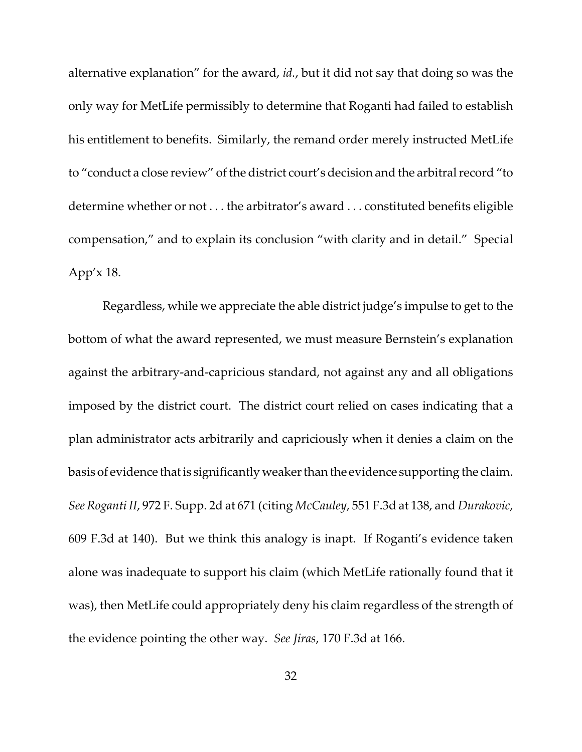alternative explanation" for the award, *id.*, but it did not say that doing so was the only way for MetLife permissibly to determine that Roganti had failed to establish his entitlement to benefits. Similarly, the remand order merely instructed MetLife to "conduct a close review" of the district court's decision and the arbitral record "to determine whether or not . . . the arbitrator's award . . . constituted benefits eligible compensation," and to explain its conclusion "with clarity and in detail." Special App'x 18.

Regardless, while we appreciate the able district judge's impulse to get to the bottom of what the award represented, we must measure Bernstein's explanation against the arbitrary‐and‐capricious standard, not against any and all obligations imposed by the district court. The district court relied on cases indicating that a plan administrator acts arbitrarily and capriciously when it denies a claim on the basis of evidence thatis significantly weakerthan the evidence supporting the claim. *See Roganti II*, 972 F. Supp. 2d at 671 (citing *McCauley*, 551 F.3d at 138, and *Durakovic*, 609 F.3d at 140). But we think this analogy is inapt. If Roganti's evidence taken alone was inadequate to support his claim (which MetLife rationally found that it was), then MetLife could appropriately deny his claim regardless of the strength of the evidence pointing the other way. *See Jiras*, 170 F.3d at 166.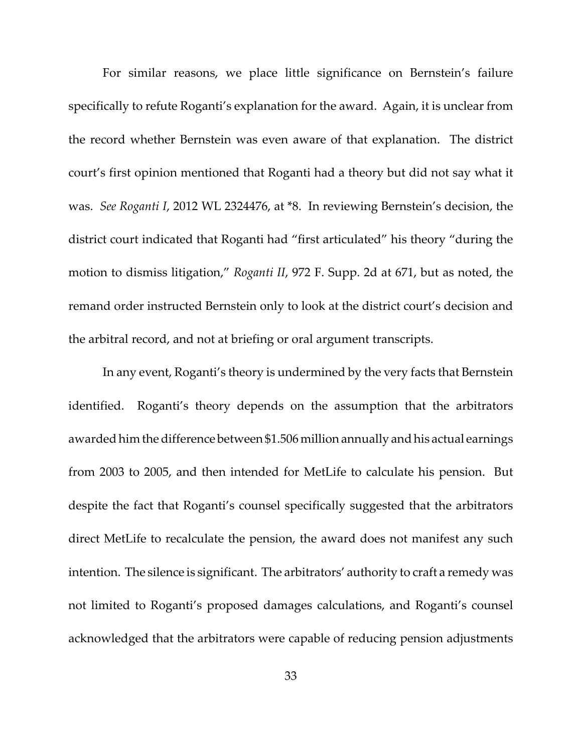For similar reasons, we place little significance on Bernstein's failure specifically to refute Roganti's explanation for the award. Again, it is unclear from the record whether Bernstein was even aware of that explanation. The district court's first opinion mentioned that Roganti had a theory but did not say what it was. *See Roganti I*, 2012 WL 2324476, at \*8. In reviewing Bernstein's decision, the district court indicated that Roganti had "first articulated" his theory "during the motion to dismiss litigation," *Roganti II*, 972 F. Supp. 2d at 671, but as noted, the remand order instructed Bernstein only to look at the district court's decision and the arbitral record, and not at briefing or oral argument transcripts.

In any event, Roganti's theory is undermined by the very facts that Bernstein identified. Roganti's theory depends on the assumption that the arbitrators awarded him the difference between \$1.506 million annually and his actual earnings from 2003 to 2005, and then intended for MetLife to calculate his pension. But despite the fact that Roganti's counsel specifically suggested that the arbitrators direct MetLife to recalculate the pension, the award does not manifest any such intention. The silence is significant. The arbitrators' authority to craft a remedy was not limited to Roganti's proposed damages calculations, and Roganti's counsel acknowledged that the arbitrators were capable of reducing pension adjustments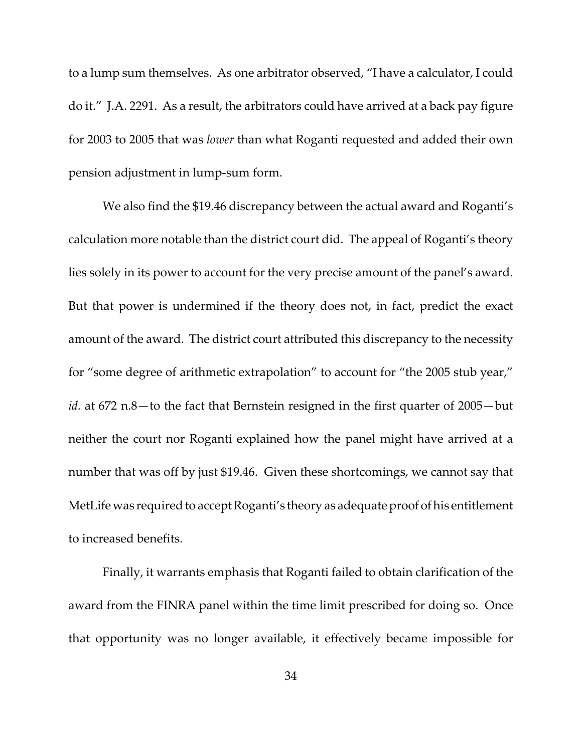to a lump sum themselves. As one arbitrator observed, "I have a calculator, I could do it." J.A. 2291. As a result, the arbitrators could have arrived at a back pay figure for 2003 to 2005 that was *lower* than what Roganti requested and added their own pension adjustment in lump‐sum form.

We also find the \$19.46 discrepancy between the actual award and Roganti's calculation more notable than the district court did. The appeal of Roganti's theory lies solely in its power to account for the very precise amount of the panel's award. But that power is undermined if the theory does not, in fact, predict the exact amount of the award. The district court attributed this discrepancy to the necessity for "some degree of arithmetic extrapolation" to account for "the 2005 stub year," *id.* at 672 n.8—to the fact that Bernstein resigned in the first quarter of 2005—but neither the court nor Roganti explained how the panel might have arrived at a number that was off by just \$19.46. Given these shortcomings, we cannot say that MetLife was required to accept Roganti's theory as adequate proof of his entitlement to increased benefits.

Finally, it warrants emphasis that Roganti failed to obtain clarification of the award from the FINRA panel within the time limit prescribed for doing so. Once that opportunity was no longer available, it effectively became impossible for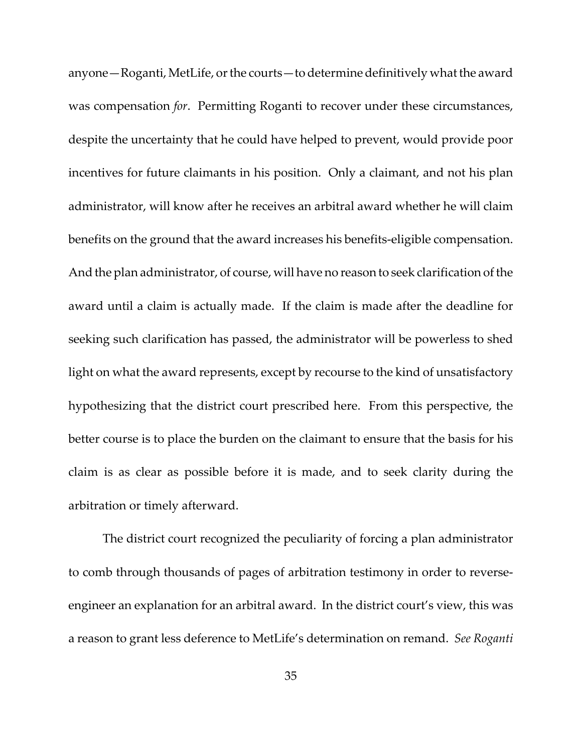anyone—Roganti, MetLife, or the courts—to determine definitively what the award was compensation *for*. Permitting Roganti to recover under these circumstances, despite the uncertainty that he could have helped to prevent, would provide poor incentives for future claimants in his position. Only a claimant, and not his plan administrator, will know after he receives an arbitral award whether he will claim benefits on the ground that the award increases his benefits‐eligible compensation. And the plan administrator, of course, will have no reason to seek clarification of the award until a claim is actually made. If the claim is made after the deadline for seeking such clarification has passed, the administrator will be powerless to shed light on what the award represents, except by recourse to the kind of unsatisfactory hypothesizing that the district court prescribed here. From this perspective, the better course is to place the burden on the claimant to ensure that the basis for his claim is as clear as possible before it is made, and to seek clarity during the arbitration or timely afterward.

The district court recognized the peculiarity of forcing a plan administrator to comb through thousands of pages of arbitration testimony in order to reverse‐ engineer an explanation for an arbitral award. In the district court's view, this was a reason to grant less deference to MetLife's determination on remand. *See Roganti*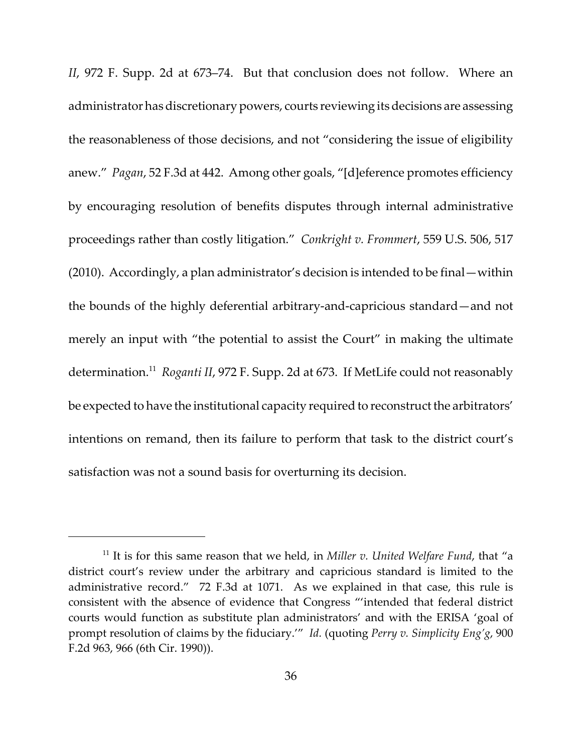*II*, 972 F. Supp. 2d at 673–74. But that conclusion does not follow. Where an administrator has discretionary powers, courts reviewing its decisions are assessing the reasonableness of those decisions, and not "considering the issue of eligibility anew." *Pagan*, 52 F.3d at 442. Among other goals, "[d]eference promotes efficiency by encouraging resolution of benefits disputes through internal administrative proceedings rather than costly litigation." *Conkright v. Frommert*, 559 U.S. 506, 517 (2010). Accordingly, a plan administrator's decision is intended to be final—within the bounds of the highly deferential arbitrary‐and‐capricious standard—and not merely an input with "the potential to assist the Court" in making the ultimate determination.11 *Roganti II*, 972 F. Supp. 2d at 673. If MetLife could not reasonably be expected to have the institutional capacity required to reconstruct the arbitrators' intentions on remand, then its failure to perform that task to the district court's satisfaction was not a sound basis for overturning its decision.

<sup>11</sup> It is for this same reason that we held, in *Miller v. United Welfare Fund*, that "a district court's review under the arbitrary and capricious standard is limited to the administrative record." 72 F.3d at 1071. As we explained in that case, this rule is consistent with the absence of evidence that Congress "'intended that federal district courts would function as substitute plan administrators' and with the ERISA 'goal of prompt resolution of claims by the fiduciary.'" *Id.* (quoting *Perry v. Simplicity Eng'g*, 900 F.2d 963, 966 (6th Cir. 1990)).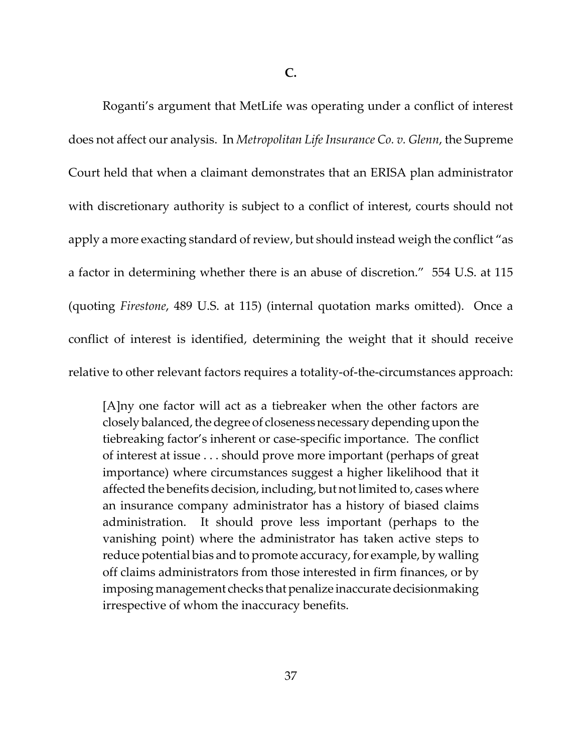**C.**

Roganti's argument that MetLife was operating under a conflict of interest does not affect our analysis. In *Metropolitan Life Insurance Co. v. Glenn*, the Supreme Court held that when a claimant demonstrates that an ERISA plan administrator with discretionary authority is subject to a conflict of interest, courts should not apply a more exacting standard of review, but should instead weigh the conflict "as a factor in determining whether there is an abuse of discretion." 554 U.S. at 115 (quoting *Firestone*, 489 U.S. at 115) (internal quotation marks omitted). Once a conflict of interest is identified, determining the weight that it should receive relative to other relevant factors requires a totality‐of‐the‐circumstances approach:

[A]ny one factor will act as a tiebreaker when the other factors are closely balanced, the degree of closeness necessary depending upon the tiebreaking factor's inherent or case‐specific importance. The conflict of interest at issue . . . should prove more important (perhaps of great importance) where circumstances suggest a higher likelihood that it affected the benefits decision, including, but not limited to, cases where an insurance company administrator has a history of biased claims administration. It should prove less important (perhaps to the vanishing point) where the administrator has taken active steps to reduce potential bias and to promote accuracy, for example, by walling off claims administrators from those interested in firm finances, or by imposing management checks that penalize inaccurate decisionmaking irrespective of whom the inaccuracy benefits.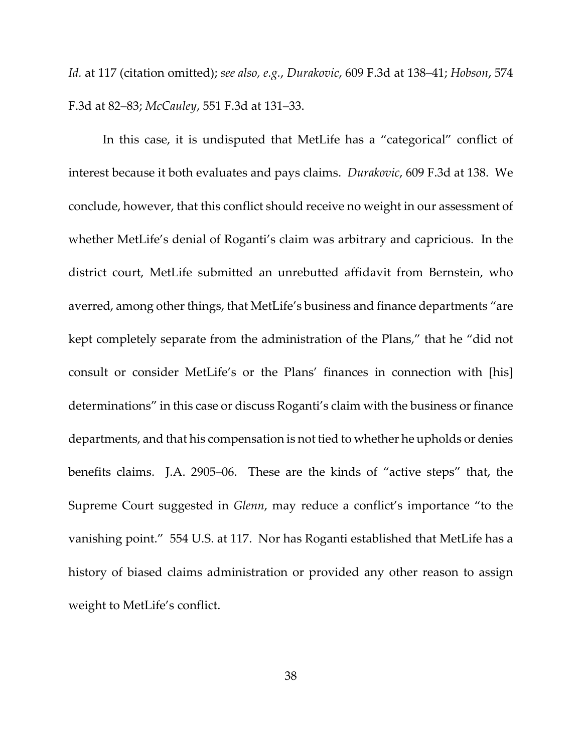*Id.* at 117 (citation omitted); *see also, e.g.*, *Durakovic*, 609 F.3d at 138–41; *Hobson*, 574 F.3d at 82–83; *McCauley*, 551 F.3d at 131–33.

In this case, it is undisputed that MetLife has a "categorical" conflict of interest because it both evaluates and pays claims. *Durakovic*, 609 F.3d at 138. We conclude, however, that this conflict should receive no weight in our assessment of whether MetLife's denial of Roganti's claim was arbitrary and capricious. In the district court, MetLife submitted an unrebutted affidavit from Bernstein, who averred, among other things, that MetLife's business and finance departments "are kept completely separate from the administration of the Plans," that he "did not consult or consider MetLife's or the Plans' finances in connection with [his] determinations" in this case or discuss Roganti's claim with the business or finance departments, and that his compensation is not tied to whether he upholds or denies benefits claims. J.A. 2905–06. These are the kinds of "active steps" that, the Supreme Court suggested in *Glenn*, may reduce a conflict's importance "to the vanishing point." 554 U.S. at 117. Nor has Roganti established that MetLife has a history of biased claims administration or provided any other reason to assign weight to MetLife's conflict.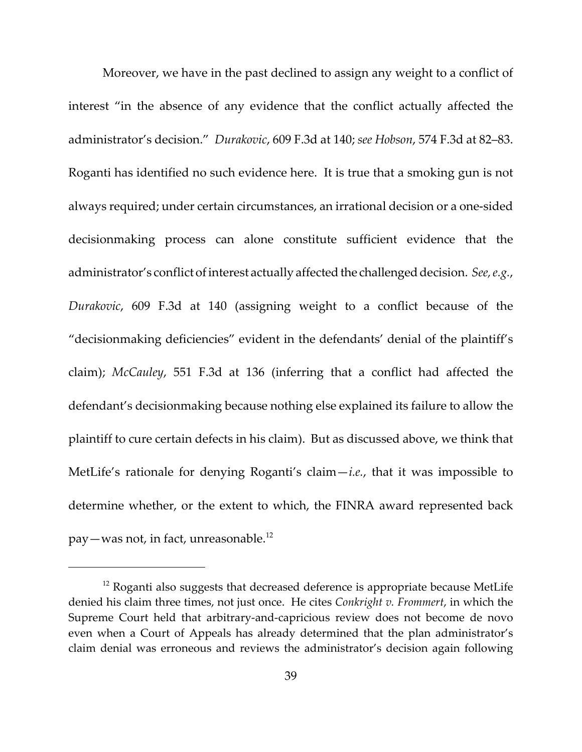Moreover, we have in the past declined to assign any weight to a conflict of interest "in the absence of any evidence that the conflict actually affected the administrator's decision." *Durakovic*, 609 F.3d at 140; *see Hobson*, 574 F.3d at 82–83. Roganti has identified no such evidence here. It is true that a smoking gun is not always required; under certain circumstances, an irrational decision or a one‐sided decisionmaking process can alone constitute sufficient evidence that the administrator's conflict of interest actually affected the challenged decision. See, e.g., *Durakovic*, 609 F.3d at 140 (assigning weight to a conflict because of the "decisionmaking deficiencies" evident in the defendants' denial of the plaintiff's claim); *McCauley*, 551 F.3d at 136 (inferring that a conflict had affected the defendant's decisionmaking because nothing else explained its failure to allow the plaintiff to cure certain defects in his claim). But as discussed above, we think that MetLife's rationale for denying Roganti's claim—*i.e.*, that it was impossible to determine whether, or the extent to which, the FINRA award represented back pay—was not, in fact, unreasonable.<sup>12</sup>

 $12$  Roganti also suggests that decreased deference is appropriate because MetLife denied his claim three times, not just once. He cites *Conkright v. Frommert*, in which the Supreme Court held that arbitrary‐and‐capricious review does not become de novo even when a Court of Appeals has already determined that the plan administrator's claim denial was erroneous and reviews the administrator's decision again following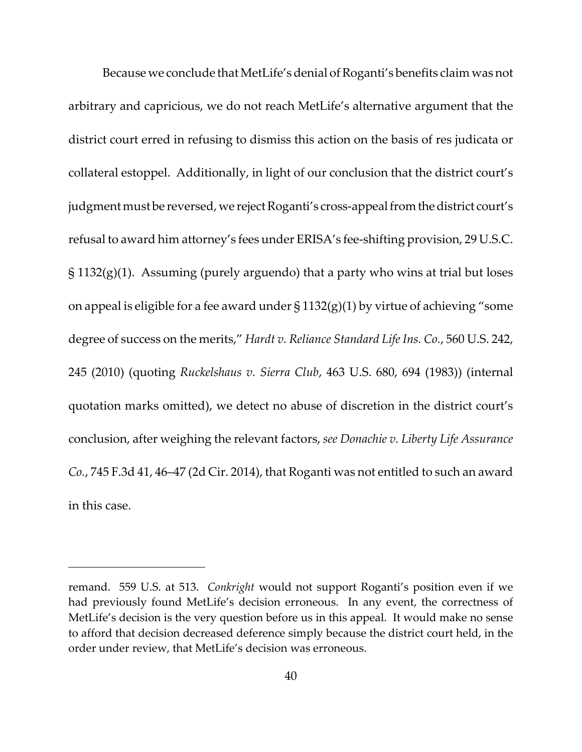Because we conclude that MetLife's denial of Roganti's benefits claim was not arbitrary and capricious, we do not reach MetLife's alternative argument that the district court erred in refusing to dismiss this action on the basis of res judicata or collateral estoppel. Additionally, in light of our conclusion that the district court's judgment must be reversed, we reject Roganti's cross-appeal from the district court's refusal to award him attorney's fees under ERISA's fee‐shifting provision, 29 U.S.C.  $\S$  1132(g)(1). Assuming (purely arguendo) that a party who wins at trial but loses on appeal is eligible for a fee award under  $\S 1132(g)(1)$  by virtue of achieving "some degree of success on the merits," *Hardt v. Reliance Standard LifeIns. Co.*, 560 U.S. 242, 245 (2010) (quoting *Ruckelshaus v. Sierra Club*, 463 U.S. 680, 694 (1983)) (internal quotation marks omitted), we detect no abuse of discretion in the district court's conclusion, after weighing the relevant factors, *see Donachie v. Liberty Life Assurance Co.*, 745 F.3d 41, 46–47 (2d Cir. 2014), that Roganti was not entitled to such an award in this case.

remand. 559 U.S. at 513. *Conkright* would not support Roganti's position even if we had previously found MetLife's decision erroneous. In any event, the correctness of MetLife's decision is the very question before us in this appeal. It would make no sense to afford that decision decreased deference simply because the district court held, in the order under review, that MetLife's decision was erroneous.